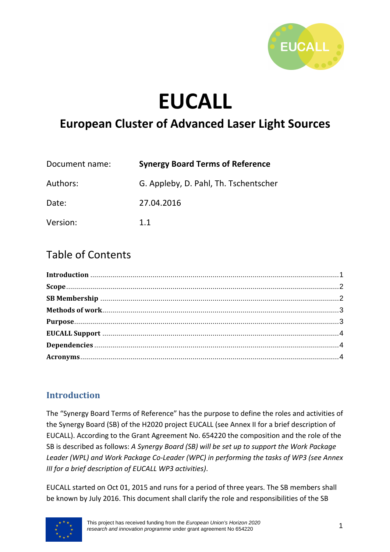

# **EUCALL**

# **European Cluster of Advanced Laser Light Sources**

| Document name: | <b>Synergy Board Terms of Reference</b> |  |
|----------------|-----------------------------------------|--|
| Authors:       | G. Appleby, D. Pahl, Th. Tschentscher   |  |
| Date:          | 27.04.2016                              |  |
| Version:       | 11                                      |  |

# Table of Contents

# **Introduction**

The "Synergy Board Terms of Reference" has the purpose to define the roles and activities of the Synergy Board (SB) of the H2020 project EUCALL (see Annex II for a brief description of EUCALL). According to the Grant Agreement No. 654220 the composition and the role of the SB is described as follows: *A Synergy Board (SB) will be set up to support the Work Package Leader (WPL) and Work Package Co-Leader (WPC) in performing the tasks of WP3 (see Annex III for a brief description of EUCALL WP3 activities)*.

EUCALL started on Oct 01, 2015 and runs for a period of three years. The SB members shall be known by July 2016. This document shall clarify the role and responsibilities of the SB

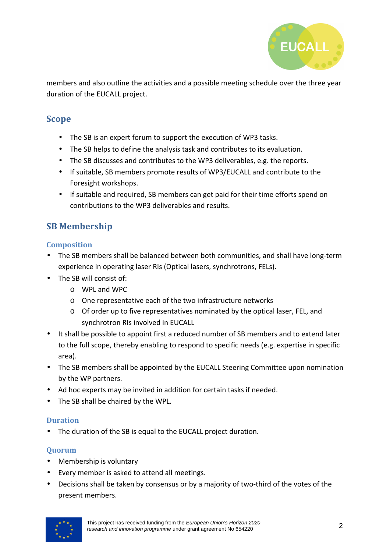

members and also outline the activities and a possible meeting schedule over the three year duration of the EUCALL project.

#### **Scope**

- The SB is an expert forum to support the execution of WP3 tasks.
- The SB helps to define the analysis task and contributes to its evaluation.
- The SB discusses and contributes to the WP3 deliverables, e.g. the reports.
- If suitable, SB members promote results of WP3/EUCALL and contribute to the Foresight workshops.
- If suitable and required, SB members can get paid for their time efforts spend on contributions to the WP3 deliverables and results.

# **SB Membership**

#### **Composition**

- The SB members shall be balanced between both communities, and shall have long-term experience in operating laser RIs (Optical lasers, synchrotrons, FELs).
- The SB will consist of:
	- o WPL and WPC
	- o One representative each of the two infrastructure networks
	- o Of order up to five representatives nominated by the optical laser, FEL, and synchrotron RIs involved in EUCALL
- It shall be possible to appoint first a reduced number of SB members and to extend later to the full scope, thereby enabling to respond to specific needs (e.g. expertise in specific area).
- The SB members shall be appointed by the EUCALL Steering Committee upon nomination by the WP partners.
- Ad hoc experts may be invited in addition for certain tasks if needed.
- The SB shall be chaired by the WPL.

#### **Duration**

• The duration of the SB is equal to the EUCALL project duration.

#### **Quorum**

- Membership is voluntary
- Every member is asked to attend all meetings.
- Decisions shall be taken by consensus or by a majority of two-third of the votes of the present members.

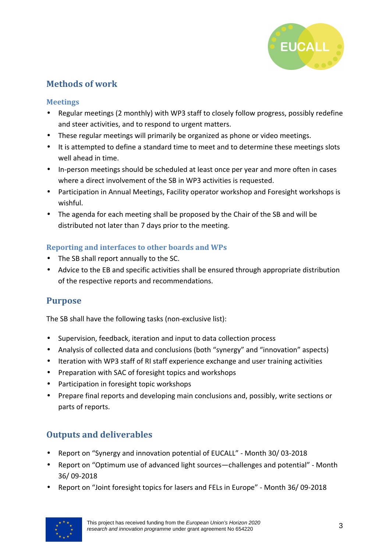

# **Methods of work**

#### **Meetings**

- Regular meetings (2 monthly) with WP3 staff to closely follow progress, possibly redefine and steer activities, and to respond to urgent matters.
- These regular meetings will primarily be organized as phone or video meetings.
- It is attempted to define a standard time to meet and to determine these meetings slots well ahead in time.
- In-person meetings should be scheduled at least once per year and more often in cases where a direct involvement of the SB in WP3 activities is requested.
- Participation in Annual Meetings, Facility operator workshop and Foresight workshops is wishful.
- The agenda for each meeting shall be proposed by the Chair of the SB and will be distributed not later than 7 days prior to the meeting.

#### **Reporting and interfaces to other boards and WPs**

- The SB shall report annually to the SC.
- Advice to the EB and specific activities shall be ensured through appropriate distribution of the respective reports and recommendations.

# **Purpose**

The SB shall have the following tasks (non-exclusive list):

- Supervision, feedback, iteration and input to data collection process
- Analysis of collected data and conclusions (both "synergy" and "innovation" aspects)
- Iteration with WP3 staff of RI staff experience exchange and user training activities
- Preparation with SAC of foresight topics and workshops
- Participation in foresight topic workshops
- Prepare final reports and developing main conclusions and, possibly, write sections or parts of reports.

# **Outputs and deliverables**

- Report on "Synergy and innovation potential of EUCALL" Month 30/ 03-2018
- Report on "Optimum use of advanced light sources—challenges and potential" Month 36/ 09-2018
- Report on "Joint foresight topics for lasers and FELs in Europe" Month 36/ 09-2018

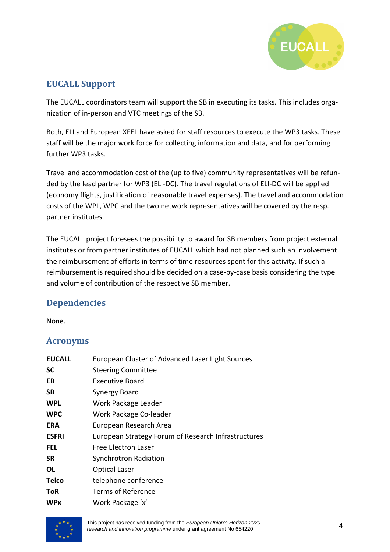

# **EUCALL Support**

The EUCALL coordinators team will support the SB in executing its tasks. This includes organization of in-person and VTC meetings of the SB.

Both, ELI and European XFEL have asked for staff resources to execute the WP3 tasks. These staff will be the major work force for collecting information and data, and for performing further WP3 tasks.

Travel and accommodation cost of the (up to five) community representatives will be refunded by the lead partner for WP3 (ELI-DC). The travel regulations of ELI-DC will be applied (economy flights, justification of reasonable travel expenses). The travel and accommodation costs of the WPL, WPC and the two network representatives will be covered by the resp. partner institutes.

The EUCALL project foresees the possibility to award for SB members from project external institutes or from partner institutes of EUCALL which had not planned such an involvement the reimbursement of efforts in terms of time resources spent for this activity. If such a reimbursement is required should be decided on a case-by-case basis considering the type and volume of contribution of the respective SB member.

# **Dependencies**

None.

#### **Acronyms**

| <b>EUCALL</b> | European Cluster of Advanced Laser Light Sources    |
|---------------|-----------------------------------------------------|
| <b>SC</b>     | <b>Steering Committee</b>                           |
| EB            | Executive Board                                     |
| SB            | Synergy Board                                       |
| <b>WPL</b>    | Work Package Leader                                 |
| <b>WPC</b>    | Work Package Co-leader                              |
| <b>ERA</b>    | European Research Area                              |
| <b>ESFRI</b>  | European Strategy Forum of Research Infrastructures |
| <b>FEL</b>    | Free Electron Laser                                 |
| <b>SR</b>     | <b>Synchrotron Radiation</b>                        |
| 0L            | <b>Optical Laser</b>                                |
| <b>Telco</b>  | telephone conference                                |
| <b>ToR</b>    | Terms of Reference                                  |
| <b>WPx</b>    | Work Package 'x'                                    |



This project has received funding from the European Union's Horizon 2020 research and innovation programme under grant agreement No 654220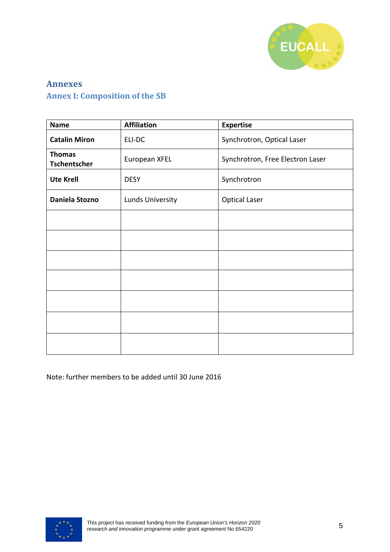

# **Annexes Annex I: Composition of the SB**

| <b>Name</b>                          | <b>Affiliation</b> | <b>Expertise</b>                 |
|--------------------------------------|--------------------|----------------------------------|
| <b>Catalin Miron</b>                 | ELI-DC             | Synchrotron, Optical Laser       |
| <b>Thomas</b><br><b>Tschentscher</b> | European XFEL      | Synchrotron, Free Electron Laser |
| <b>Ute Krell</b>                     | <b>DESY</b>        | Synchrotron                      |
| Daniela Stozno                       | Lunds University   | <b>Optical Laser</b>             |
|                                      |                    |                                  |
|                                      |                    |                                  |
|                                      |                    |                                  |
|                                      |                    |                                  |
|                                      |                    |                                  |
|                                      |                    |                                  |
|                                      |                    |                                  |

Note: further members to be added until 30 June 2016

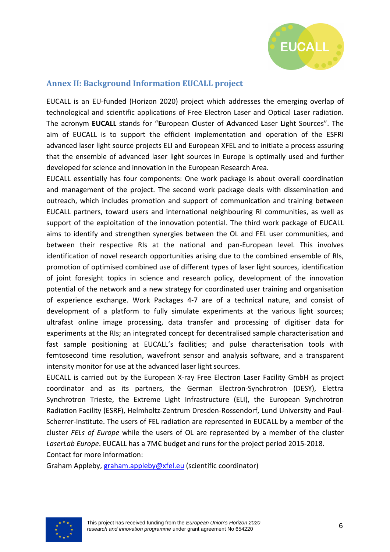

#### **Annex II: Background Information EUCALL project**

EUCALL is an EU-funded (Horizon 2020) project which addresses the emerging overlap of technological and scientific applications of Free Electron Laser and Optical Laser radiation. The acronym **EUCALL** stands for "**Eu**ropean **C**luster of **A**dvanced **L**aser **L**ight Sources". The aim of EUCALL is to support the efficient implementation and operation of the ESFRI advanced laser light source projects ELI and European XFEL and to initiate a process assuring that the ensemble of advanced laser light sources in Europe is optimally used and further developed for science and innovation in the European Research Area.

EUCALL essentially has four components: One work package is about overall coordination and management of the project. The second work package deals with dissemination and outreach, which includes promotion and support of communication and training between EUCALL partners, toward users and international neighbouring RI communities, as well as support of the exploitation of the innovation potential. The third work package of EUCALL aims to identify and strengthen synergies between the OL and FEL user communities, and between their respective RIs at the national and pan-European level. This involves identification of novel research opportunities arising due to the combined ensemble of RIs, promotion of optimised combined use of different types of laser light sources, identification of joint foresight topics in science and research policy, development of the innovation potential of the network and a new strategy for coordinated user training and organisation of experience exchange. Work Packages 4-7 are of a technical nature, and consist of development of a platform to fully simulate experiments at the various light sources; ultrafast online image processing, data transfer and processing of digitiser data for experiments at the RIs; an integrated concept for decentralised sample characterisation and fast sample positioning at EUCALL's facilities; and pulse characterisation tools with femtosecond time resolution, wavefront sensor and analysis software, and a transparent intensity monitor for use at the advanced laser light sources.

EUCALL is carried out by the European X-ray Free Electron Laser Facility GmbH as project coordinator and as its partners, the German Electron-Synchrotron (DESY), Elettra Synchrotron Trieste, the Extreme Light Infrastructure (ELI), the European Synchrotron Radiation Facility (ESRF), Helmholtz-Zentrum Dresden-Rossendorf, Lund University and Paul-Scherrer-Institute. The users of FEL radiation are represented in EUCALL by a member of the cluster *FELs of Europe* while the users of OL are represented by a member of the cluster *LaserLab Europe*. EUCALL has a 7M€ budget and runs for the project period 2015-2018. Contact for more information:

Graham Appleby, graham.appleby@xfel.eu (scientific coordinator)